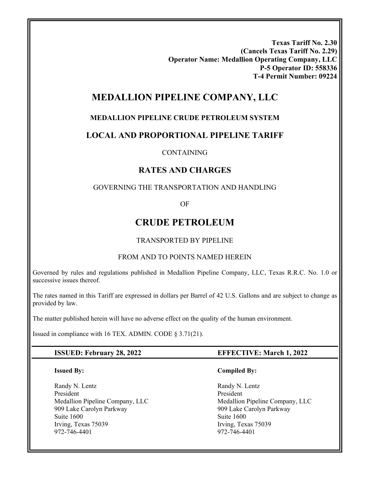**Texas Tariff No. 2.30 (Cancels Texas Tariff No. 2.29) Operator Name: Medallion Operating Company, LLC P-5 Operator ID: 558336 T-4 Permit Number: 09224** 

# **MEDALLION PIPELINE COMPANY, LLC**

## **MEDALLION PIPELINE CRUDE PETROLEUM SYSTEM**

## **LOCAL AND PROPORTIONAL PIPELINE TARIFF**

### CONTAINING

## **RATES AND CHARGES**

### GOVERNING THE TRANSPORTATION AND HANDLING

OF

# **CRUDE PETROLEUM**

### TRANSPORTED BY PIPELINE

### FROM AND TO POINTS NAMED HEREIN

Governed by rules and regulations published in Medallion Pipeline Company, LLC, Texas R.R.C. No. 1.0 or successive issues thereof.

The rates named in this Tariff are expressed in dollars per Barrel of 42 U.S. Gallons and are subject to change as provided by law.

The matter published herein will have no adverse effect on the quality of the human environment.

Issued in compliance with 16 TEX. ADMIN. CODE § 3.71(21).

### **ISSUED: February 28, 2022 EFFECTIVE: March 1, 2022**

### **Issued By:**

Randy N. Lentz President Medallion Pipeline Company, LLC 909 Lake Carolyn Parkway Suite 1600 Irving, Texas 75039 972-746-4401

### **Compiled By:**

 Randy N. Lentz President Medallion Pipeline Company, LLC 909 Lake Carolyn Parkway Suite 1600 Irving, Texas 75039 972-746-4401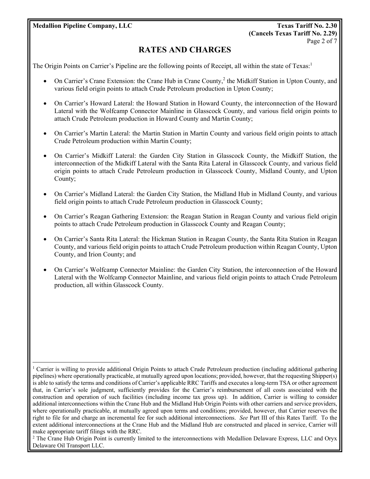**Medallion Pipeline Company, LLC Texas Tariff No. 2.30** 

# **RATES AND CHARGES**

The Origin Points on Carrier's Pipeline are the following points of Receipt, all within the state of Texas:<sup>1</sup>

- On Carrier's Crane Extension: the Crane Hub in Crane County,<sup>2</sup> the Midkiff Station in Upton County, and various field origin points to attach Crude Petroleum production in Upton County;
- On Carrier's Howard Lateral: the Howard Station in Howard County, the interconnection of the Howard Lateral with the Wolfcamp Connector Mainline in Glasscock County, and various field origin points to attach Crude Petroleum production in Howard County and Martin County;
- On Carrier's Martin Lateral: the Martin Station in Martin County and various field origin points to attach Crude Petroleum production within Martin County;
- On Carrier's Midkiff Lateral: the Garden City Station in Glasscock County, the Midkiff Station, the interconnection of the Midkiff Lateral with the Santa Rita Lateral in Glasscock County, and various field origin points to attach Crude Petroleum production in Glasscock County, Midland County, and Upton County;
- On Carrier's Midland Lateral: the Garden City Station, the Midland Hub in Midland County, and various field origin points to attach Crude Petroleum production in Glasscock County;
- On Carrier's Reagan Gathering Extension: the Reagan Station in Reagan County and various field origin points to attach Crude Petroleum production in Glasscock County and Reagan County;
- On Carrier's Santa Rita Lateral: the Hickman Station in Reagan County, the Santa Rita Station in Reagan County, and various field origin points to attach Crude Petroleum production within Reagan County, Upton County, and Irion County; and
- On Carrier's Wolfcamp Connector Mainline: the Garden City Station, the interconnection of the Howard Lateral with the Wolfcamp Connector Mainline, and various field origin points to attach Crude Petroleum production, all within Glasscock County.

 $\overline{a}$ 1 Carrier is willing to provide additional Origin Points to attach Crude Petroleum production (including additional gathering pipelines) where operationally practicable, at mutually agreed upon locations; provided, however, that the requesting Shipper(s) is able to satisfy the terms and conditions of Carrier's applicable RRC Tariffs and executes a long-term TSA or other agreement that, in Carrier's sole judgment, sufficiently provides for the Carrier's reimbursement of all costs associated with the construction and operation of such facilities (including income tax gross up). In addition, Carrier is willing to consider additional interconnections within the Crane Hub and the Midland Hub Origin Points with other carriers and service providers, where operationally practicable, at mutually agreed upon terms and conditions; provided, however, that Carrier reserves the right to file for and charge an incremental fee for such additional interconnections. *See* Part III of this Rates Tariff. To the extent additional interconnections at the Crane Hub and the Midland Hub are constructed and placed in service, Carrier will make appropriate tariff filings with the RRC.

<sup>&</sup>lt;sup>2</sup> The Crane Hub Origin Point is currently limited to the interconnections with Medallion Delaware Express, LLC and Oryx Delaware Oil Transport LLC.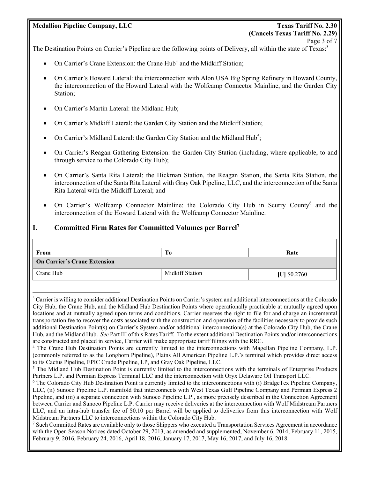### **Medallion Pipeline Company, LLC Texas Tariff No. 2.30**

 $\overline{a}$ 

# **(Cancels Texas Tariff No. 2.29)**  Page 3 of 7

The Destination Points on Carrier's Pipeline are the following points of Delivery, all within the state of Texas:<sup>3</sup>

- On Carrier's Crane Extension: the Crane Hub<sup>4</sup> and the Midkiff Station;
- On Carrier's Howard Lateral: the interconnection with Alon USA Big Spring Refinery in Howard County, the interconnection of the Howard Lateral with the Wolfcamp Connector Mainline, and the Garden City Station;
- On Carrier's Martin Lateral: the Midland Hub;
- On Carrier's Midkiff Lateral: the Garden City Station and the Midkiff Station;
- On Carrier's Midland Lateral: the Garden City Station and the Midland Hub<sup>5</sup>;
- On Carrier's Reagan Gathering Extension: the Garden City Station (including, where applicable, to and through service to the Colorado City Hub);
- On Carrier's Santa Rita Lateral: the Hickman Station, the Reagan Station, the Santa Rita Station, the interconnection of the Santa Rita Lateral with Gray Oak Pipeline, LLC, and the interconnection of the Santa Rita Lateral with the Midkiff Lateral; and
- On Carrier's Wolfcamp Connector Mainline: the Colorado City Hub in Scurry County<sup>6</sup> and the interconnection of the Howard Lateral with the Wolfcamp Connector Mainline.

### **I. Committed Firm Rates for Committed Volumes per Barrel7**

| From                                | Tо                     | Rate           |  |  |
|-------------------------------------|------------------------|----------------|--|--|
| <b>On Carrier's Crane Extension</b> |                        |                |  |  |
| Crane Hub                           | <b>Midkiff Station</b> | $ U $ \$0.2760 |  |  |

<sup>7</sup> Such Committed Rates are available only to those Shippers who executed a Transportation Services Agreement in accordance with the Open Season Notices dated October 29, 2013, as amended and supplemented, November 6, 2014, February 11, 2015, February 9, 2016, February 24, 2016, April 18, 2016, January 17, 2017, May 16, 2017, and July 16, 2018.

<sup>&</sup>lt;sup>3</sup> Carrier is willing to consider additional Destination Points on Carrier's system and additional interconnections at the Colorado City Hub, the Crane Hub, and the Midland Hub Destination Points where operationally practicable at mutually agreed upon locations and at mutually agreed upon terms and conditions. Carrier reserves the right to file for and charge an incremental transportation fee to recover the costs associated with the construction and operation of the facilities necessary to provide such additional Destination Point(s) on Carrier's System and/or additional interconnection(s) at the Colorado City Hub, the Crane Hub, and the Midland Hub. *See* Part III of this Rates Tariff. To the extent additional Destination Points and/or interconnections are constructed and placed in service, Carrier will make appropriate tariff filings with the RRC. 4

The Crane Hub Destination Points are currently limited to the interconnections with Magellan Pipeline Company, L.P. (commonly referred to as the Longhorn Pipeline), Plains All American Pipeline L.P.'s terminal which provides direct access to its Cactus Pipeline, EPIC Crude Pipeline, LP, and Gray Oak Pipeline, LLC.

<sup>&</sup>lt;sup>5</sup> The Midland Hub Destination Point is currently limited to the interconnections with the terminals of Enterprise Products Partners L.P. and Permian Express Terminal LLC and the interconnection with Oryx Delaware Oil Transport LLC.

The Colorado City Hub Destination Point is currently limited to the interconnections with (i) BridgeTex Pipeline Company, LLC, (ii) Sunoco Pipeline L.P. manifold that interconnects with West Texas Gulf Pipeline Company and Permian Express 2 Pipeline, and (iii) a separate connection with Sunoco Pipeline L.P., as more precisely described in the Connection Agreement between Carrier and Sunoco Pipeline L.P. Carrier may receive deliveries at the interconnection with Wolf Midstream Partners LLC, and an intra-hub transfer fee of \$0.10 per Barrel will be applied to deliveries from this interconnection with Wolf Midstream Partners LLC to interconnections within the Colorado City Hub. 7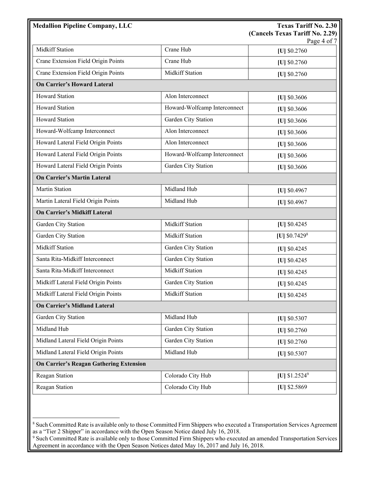| <b>Medallion Pipeline Company, LLC</b>         |                              | <b>Texas Tariff No. 2.30</b>                   |
|------------------------------------------------|------------------------------|------------------------------------------------|
|                                                |                              | (Cancels Texas Tariff No. 2.29)<br>Page 4 of 7 |
| <b>Midkiff Station</b>                         | Crane Hub                    | [U] \$0.2760                                   |
| Crane Extension Field Origin Points            | Crane Hub                    | [U] \$0.2760                                   |
| Crane Extension Field Origin Points            | <b>Midkiff Station</b>       | [U] \$0.2760                                   |
| <b>On Carrier's Howard Lateral</b>             |                              |                                                |
| <b>Howard Station</b>                          | Alon Interconnect            | [U] $$0.3606$                                  |
| <b>Howard Station</b>                          | Howard-Wolfcamp Interconnect | [U] \$0.3606                                   |
| <b>Howard Station</b>                          | Garden City Station          | [U] $$0.3606$                                  |
| Howard-Wolfcamp Interconnect                   | Alon Interconnect            | $[U]$ \$0.3606                                 |
| Howard Lateral Field Origin Points             | Alon Interconnect            | [U] $$0.3606$                                  |
| Howard Lateral Field Origin Points             | Howard-Wolfcamp Interconnect | [U] \$0.3606                                   |
| Howard Lateral Field Origin Points             | Garden City Station          | [U] $$0.3606$                                  |
| <b>On Carrier's Martin Lateral</b>             |                              |                                                |
| <b>Martin Station</b>                          | Midland Hub                  | [U] $$0.4967$                                  |
| Martin Lateral Field Origin Points             | Midland Hub                  | [U] $$0.4967$                                  |
| <b>On Carrier's Midkiff Lateral</b>            |                              |                                                |
| Garden City Station                            | <b>Midkiff Station</b>       | [U] $$0.4245$                                  |
| Garden City Station                            | <b>Midkiff Station</b>       | [U] $$0.7429$ <sup>8</sup>                     |
| <b>Midkiff Station</b>                         | Garden City Station          | $[U]$ \$0.4245                                 |
| Santa Rita-Midkiff Interconnect                | Garden City Station          | [U] $$0.4245$                                  |
| Santa Rita-Midkiff Interconnect                | <b>Midkiff Station</b>       | [U] $$0.4245$                                  |
| Midkiff Lateral Field Origin Points            | Garden City Station          | [U] $$0.4245$                                  |
| Midkiff Lateral Field Origin Points            | <b>Midkiff Station</b>       | [U] \$0.4245                                   |
| <b>On Carrier's Midland Lateral</b>            |                              |                                                |
| Garden City Station                            | Midland Hub                  | [U] $$0.5307$                                  |
| Midland Hub                                    | Garden City Station          | [U] $$0.2760$                                  |
| Midland Lateral Field Origin Points            | Garden City Station          | [U] $$0.2760$                                  |
| Midland Lateral Field Origin Points            | Midland Hub                  | [U] \$0.5307                                   |
| <b>On Carrier's Reagan Gathering Extension</b> |                              |                                                |
| Reagan Station                                 | Colorado City Hub            | [U] $$1.2524^9$                                |
| Reagan Station                                 | Colorado City Hub            | [U] \$2.5869                                   |

 8 Such Committed Rate is available only to those Committed Firm Shippers who executed a Transportation Services Agreement as a "Tier 2 Shipper" in accordance with the Open Season Notice dated July 16, 2018.

<sup>&</sup>lt;sup>9</sup> Such Committed Rate is available only to those Committed Firm Shippers who executed an amended Transportation Services Agreement in accordance with the Open Season Notices dated May 16, 2017 and July 16, 2018.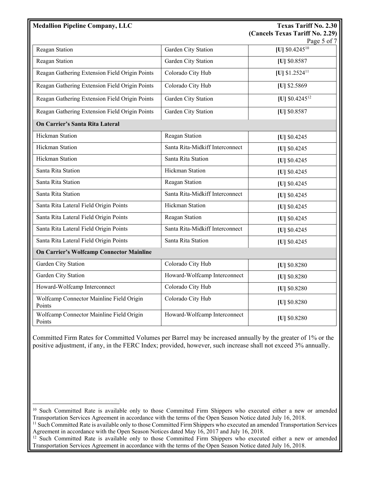| <b>Medallion Pipeline Company, LLC</b>             |                                 | <b>Texas Tariff No. 2.30</b><br>(Cancels Texas Tariff No. 2.29)<br>Page 5 of 7 |
|----------------------------------------------------|---------------------------------|--------------------------------------------------------------------------------|
| Reagan Station                                     | Garden City Station             | [U] $$0.4245^{10}$                                                             |
| Reagan Station                                     | Garden City Station             | [U] \$0.8587                                                                   |
| Reagan Gathering Extension Field Origin Points     | Colorado City Hub               | [U] $$1.2524$ <sup>11</sup>                                                    |
| Reagan Gathering Extension Field Origin Points     | Colorado City Hub               | [U] \$2.5869                                                                   |
| Reagan Gathering Extension Field Origin Points     | Garden City Station             | [U] $$0.4245^{12}$                                                             |
| Reagan Gathering Extension Field Origin Points     | Garden City Station             | [U] \$0.8587                                                                   |
| On Carrier's Santa Rita Lateral                    |                                 |                                                                                |
| <b>Hickman Station</b>                             | Reagan Station                  | [U] \$0.4245                                                                   |
| <b>Hickman Station</b>                             | Santa Rita-Midkiff Interconnect | [U] \$0.4245                                                                   |
| <b>Hickman Station</b>                             | Santa Rita Station              | [U] \$0.4245                                                                   |
| Santa Rita Station                                 | Hickman Station                 | [U] \$0.4245                                                                   |
| Santa Rita Station                                 | Reagan Station                  | [U] \$0.4245                                                                   |
| Santa Rita Station                                 | Santa Rita-Midkiff Interconnect | [U] \$0.4245                                                                   |
| Santa Rita Lateral Field Origin Points             | Hickman Station                 | [U] \$0.4245                                                                   |
| Santa Rita Lateral Field Origin Points             | Reagan Station                  | [U] \$0.4245                                                                   |
| Santa Rita Lateral Field Origin Points             | Santa Rita-Midkiff Interconnect | [U] \$0.4245                                                                   |
| Santa Rita Lateral Field Origin Points             | Santa Rita Station              | [U] \$0.4245                                                                   |
| <b>On Carrier's Wolfcamp Connector Mainline</b>    |                                 |                                                                                |
| Garden City Station                                | Colorado City Hub               | [U] \$0.8280                                                                   |
| Garden City Station                                | Howard-Wolfcamp Interconnect    | [U] \$0.8280                                                                   |
| Howard-Wolfcamp Interconnect                       | Colorado City Hub               | [U] \$0.8280                                                                   |
| Wolfcamp Connector Mainline Field Origin<br>Points | Colorado City Hub               | [U] \$0.8280                                                                   |
| Wolfcamp Connector Mainline Field Origin<br>Points | Howard-Wolfcamp Interconnect    | [U] \$0.8280                                                                   |

Committed Firm Rates for Committed Volumes per Barrel may be increased annually by the greater of 1% or the positive adjustment, if any, in the FERC Index; provided, however, such increase shall not exceed 3% annually.

 $\overline{a}$ 

<sup>&</sup>lt;sup>10</sup> Such Committed Rate is available only to those Committed Firm Shippers who executed either a new or amended Transportation Services Agreement in accordance with the terms of the Open Season Notice dated July 16, 2018.

<sup>&</sup>lt;sup>11</sup> Such Committed Rate is available only to those Committed Firm Shippers who executed an amended Transportation Services Agreement in accordance with the Open Season Notices dated May 16, 2017 and July 16, 2018.

<sup>&</sup>lt;sup>12</sup> Such Committed Rate is available only to those Committed Firm Shippers who executed either a new or amended Transportation Services Agreement in accordance with the terms of the Open Season Notice dated July 16, 2018.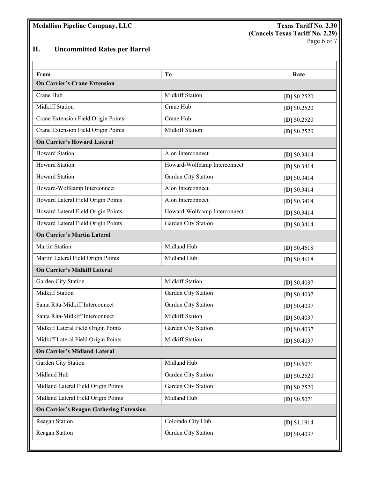# **II. Uncommitted Rates per Barrel**

| From                                           | Tо                           | Rate           |
|------------------------------------------------|------------------------------|----------------|
| <b>On Carrier's Crane Extension</b>            |                              |                |
| Crane Hub                                      | <b>Midkiff Station</b>       | $[D]$ \$0.2520 |
| <b>Midkiff Station</b>                         | Crane Hub                    | $[D]$ \$0.2520 |
| Crane Extension Field Origin Points            | Crane Hub                    | $[D]$ \$0.2520 |
| Crane Extension Field Origin Points            | <b>Midkiff Station</b>       | $[D]$ \$0.2520 |
| <b>On Carrier's Howard Lateral</b>             |                              |                |
| <b>Howard Station</b>                          | Alon Interconnect            | $[D]$ \$0.3414 |
| <b>Howard Station</b>                          | Howard-Wolfcamp Interconnect | $[D]$ \$0.3414 |
| <b>Howard Station</b>                          | Garden City Station          | $[D]$ \$0.3414 |
| Howard-Wolfcamp Interconnect                   | Alon Interconnect            | $[D]$ \$0.3414 |
| Howard Lateral Field Origin Points             | Alon Interconnect            | $[D]$ \$0.3414 |
| Howard Lateral Field Origin Points             | Howard-Wolfcamp Interconnect | $[D]$ \$0.3414 |
| Howard Lateral Field Origin Points             | Garden City Station          | $[D]$ \$0.3414 |
| <b>On Carrier's Martin Lateral</b>             |                              |                |
| <b>Martin Station</b>                          | Midland Hub                  | [D] $$0.4618$  |
| Martin Lateral Field Origin Points             | Midland Hub                  | $[D]$ \$0.4618 |
| <b>On Carrier's Midkiff Lateral</b>            |                              |                |
| Garden City Station                            | <b>Midkiff Station</b>       | [D] $$0.4037$  |
| <b>Midkiff Station</b>                         | Garden City Station          | $[D]$ \$0.4037 |
| Santa Rita-Midkiff Interconnect                | Garden City Station          | $[D]$ \$0.4037 |
| Santa Rita-Midkiff Interconnect                | <b>Midkiff Station</b>       | [D] $$0.4037$  |
| Midkiff Lateral Field Origin Points            | Garden City Station          | $[D]$ \$0.4037 |
| Midkiff Lateral Field Origin Points            | Midkiff Station              | $[D]$ \$0.4037 |
| <b>On Carrier's Midland Lateral</b>            |                              |                |
| Garden City Station                            | Midland Hub                  | $[D]$ \$0.5071 |
| Midland Hub                                    | Garden City Station          | $[D]$ \$0.2520 |
| Midland Lateral Field Origin Points            | Garden City Station          | $[D]$ \$0.2520 |
| Midland Lateral Field Origin Points            | Midland Hub                  | [D] \$0.5071   |
| <b>On Carrier's Reagan Gathering Extension</b> |                              |                |
| Reagan Station                                 | Colorado City Hub            | $[D]$ \$1.1914 |
| Reagan Station                                 | Garden City Station          | $[D]$ \$0.4037 |